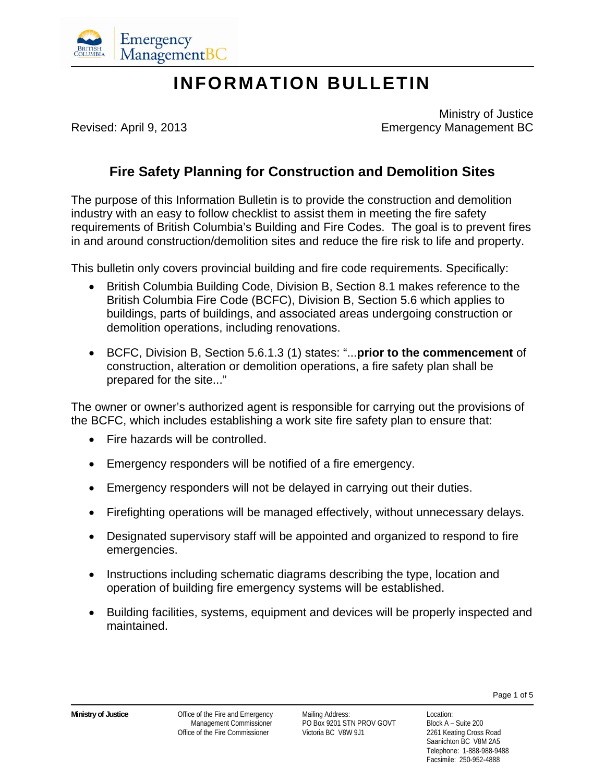

# **INFORMATION BULLETIN**

 Ministry of Justice Revised: April 9, 2013 Emergency Management BC

## **Fire Safety Planning for Construction and Demolition Sites**

The purpose of this Information Bulletin is to provide the construction and demolition industry with an easy to follow checklist to assist them in meeting the fire safety requirements of British Columbia's Building and Fire Codes. The goal is to prevent fires in and around construction/demolition sites and reduce the fire risk to life and property.

This bulletin only covers provincial building and fire code requirements. Specifically:

- British Columbia Building Code, Division B, Section 8.1 makes reference to the British Columbia Fire Code (BCFC), Division B, Section 5.6 which applies to buildings, parts of buildings, and associated areas undergoing construction or demolition operations, including renovations.
- BCFC, Division B, Section 5.6.1.3 (1) states: "...**prior to the commencement** of construction, alteration or demolition operations, a fire safety plan shall be prepared for the site..."

The owner or owner's authorized agent is responsible for carrying out the provisions of the BCFC, which includes establishing a work site fire safety plan to ensure that:

- Fire hazards will be controlled.
- Emergency responders will be notified of a fire emergency.
- Emergency responders will not be delayed in carrying out their duties.
- Firefighting operations will be managed effectively, without unnecessary delays.
- Designated supervisory staff will be appointed and organized to respond to fire emergencies.
- Instructions including schematic diagrams describing the type, location and operation of building fire emergency systems will be established.
- Building facilities, systems, equipment and devices will be properly inspected and maintained.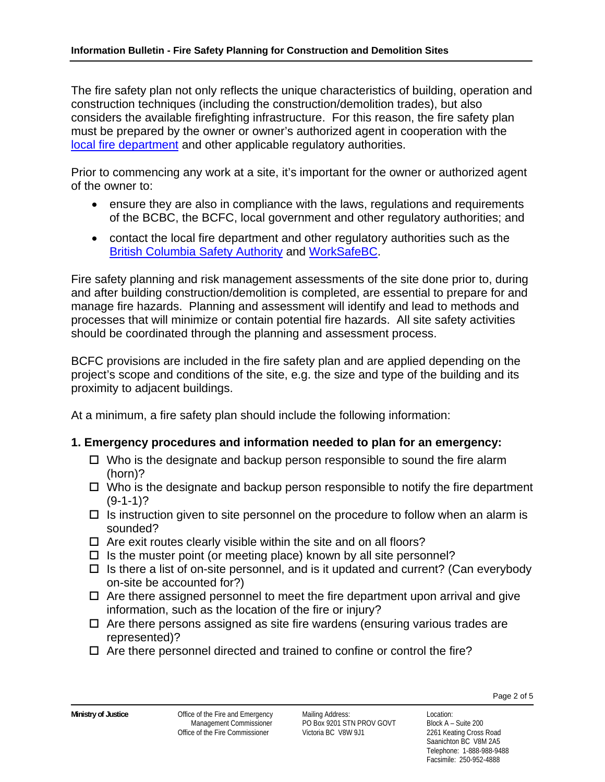The fire safety plan not only reflects the unique characteristics of building, operation and construction techniques (including the construction/demolition trades), but also considers the available firefighting infrastructure. For this reason, the fire safety plan must be prepared by the owner or owner's authorized agent in cooperation with the local fire department and other applicable regulatory authorities.

Prior to commencing any work at a site, it's important for the owner or authorized agent of the owner to:

- ensure they are also in compliance with the laws, regulations and requirements of the BCBC, the BCFC, local government and other regulatory authorities; and
- contact the local fire department and other regulatory authorities such as the British Columbia Safety Authority and WorkSafeBC.

Fire safety planning and risk management assessments of the site done prior to, during and after building construction/demolition is completed, are essential to prepare for and manage fire hazards. Planning and assessment will identify and lead to methods and processes that will minimize or contain potential fire hazards. All site safety activities should be coordinated through the planning and assessment process.

BCFC provisions are included in the fire safety plan and are applied depending on the project's scope and conditions of the site, e.g. the size and type of the building and its proximity to adjacent buildings.

At a minimum, a fire safety plan should include the following information:

## **1. Emergency procedures and information needed to plan for an emergency:**

- $\Box$  Who is the designate and backup person responsible to sound the fire alarm (horn)?
- $\Box$  Who is the designate and backup person responsible to notify the fire department  $(9-1-1)?$
- $\Box$  Is instruction given to site personnel on the procedure to follow when an alarm is sounded?
- $\Box$  Are exit routes clearly visible within the site and on all floors?
- $\Box$  Is the muster point (or meeting place) known by all site personnel?
- $\Box$  Is there a list of on-site personnel, and is it updated and current? (Can everybody on-site be accounted for?)
- $\Box$  Are there assigned personnel to meet the fire department upon arrival and give information, such as the location of the fire or injury?
- $\Box$  Are there persons assigned as site fire wardens (ensuring various trades are represented)?
- $\Box$  Are there personnel directed and trained to confine or control the fire?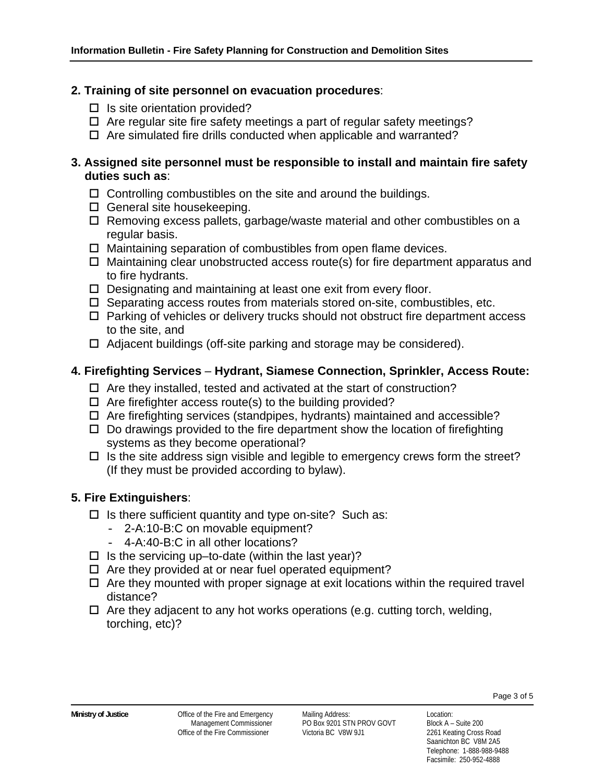#### **2. Training of site personnel on evacuation procedures**:

- $\square$  Is site orientation provided?
- $\Box$  Are regular site fire safety meetings a part of regular safety meetings?
- $\Box$  Are simulated fire drills conducted when applicable and warranted?

#### **3. Assigned site personnel must be responsible to install and maintain fire safety duties such as**:

- $\Box$  Controlling combustibles on the site and around the buildings.
- $\square$  General site housekeeping.
- $\Box$  Removing excess pallets, garbage/waste material and other combustibles on a regular basis.
- $\Box$  Maintaining separation of combustibles from open flame devices.
- $\Box$  Maintaining clear unobstructed access route(s) for fire department apparatus and to fire hydrants.
- $\Box$  Designating and maintaining at least one exit from every floor.
- $\Box$  Separating access routes from materials stored on-site, combustibles, etc.
- $\Box$  Parking of vehicles or delivery trucks should not obstruct fire department access to the site, and
- $\Box$  Adjacent buildings (off-site parking and storage may be considered).

## **4. Firefighting Services** – **Hydrant, Siamese Connection, Sprinkler, Access Route:**

- $\Box$  Are they installed, tested and activated at the start of construction?
- $\Box$  Are firefighter access route(s) to the building provided?
- $\Box$  Are firefighting services (standpipes, hydrants) maintained and accessible?
- $\Box$  Do drawings provided to the fire department show the location of firefighting systems as they become operational?
- $\Box$  Is the site address sign visible and legible to emergency crews form the street? (If they must be provided according to bylaw).

## **5. Fire Extinguishers**:

- $\Box$  Is there sufficient quantity and type on-site? Such as:
	- 2-A:10-B:C on movable equipment?
	- 4-A:40-B:C in all other locations?
- $\Box$  Is the servicing up–to-date (within the last year)?
- $\Box$  Are they provided at or near fuel operated equipment?
- $\Box$  Are they mounted with proper signage at exit locations within the required travel distance?
- $\Box$  Are they adjacent to any hot works operations (e.g. cutting torch, welding, torching, etc)?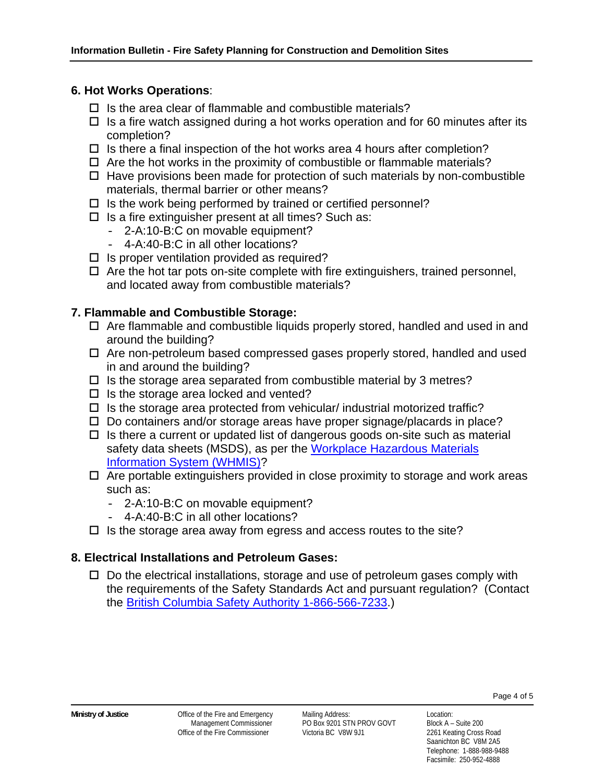#### **6. Hot Works Operations**:

- $\Box$  Is the area clear of flammable and combustible materials?
- $\Box$  Is a fire watch assigned during a hot works operation and for 60 minutes after its completion?
- $\Box$  Is there a final inspection of the hot works area 4 hours after completion?
- $\Box$  Are the hot works in the proximity of combustible or flammable materials?
- $\Box$  Have provisions been made for protection of such materials by non-combustible materials, thermal barrier or other means?
- $\Box$  Is the work being performed by trained or certified personnel?
- $\square$  Is a fire extinguisher present at all times? Such as:
	- 2-A:10-B:C on movable equipment?
	- 4-A:40-B:C in all other locations?
- $\Box$  Is proper ventilation provided as required?
- $\Box$  Are the hot tar pots on-site complete with fire extinguishers, trained personnel, and located away from combustible materials?

## **7. Flammable and Combustible Storage:**

- $\Box$  Are flammable and combustible liquids properly stored, handled and used in and around the building?
- Are non-petroleum based compressed gases properly stored, handled and used in and around the building?
- $\Box$  Is the storage area separated from combustible material by 3 metres?
- $\Box$  Is the storage area locked and vented?
- $\Box$  Is the storage area protected from vehicular/ industrial motorized traffic?
- $\square$  Do containers and/or storage areas have proper signage/placards in place?
- $\Box$  Is there a current or updated list of dangerous goods on-site such as material safety data sheets (MSDS), as per the Workplace Hazardous Materials Information System (WHMIS)?
- $\Box$  Are portable extinguishers provided in close proximity to storage and work areas such as:
	- 2-A:10-B:C on movable equipment?
	- 4-A:40-B:C in all other locations?
- $\Box$  Is the storage area away from egress and access routes to the site?

## **8. Electrical Installations and Petroleum Gases:**

 $\square$  Do the electrical installations, storage and use of petroleum gases comply with the requirements of the Safety Standards Act and pursuant regulation? (Contact the British Columbia Safety Authority 1-866-566-7233.)